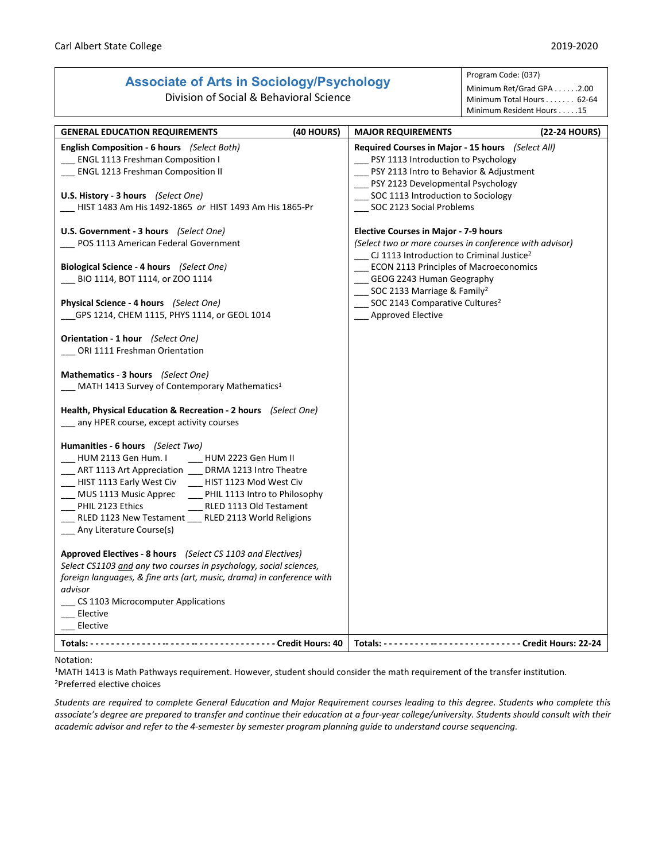## **Associate of Arts in Sociology/Psychology**

Division of Social & Behavioral Science

## Program Code: (037) Minimum Ret/Grad GPA . . . . . . 2.00

Minimum Total Hours . . . . . . . 62-64 Minimum Resident Hours . . . . .15

| <b>GENERAL EDUCATION REQUIREMENTS</b>                                 | (40 HOURS) | <b>MAJOR REQUIREMENTS</b>                                | (22-24 HOURS) |
|-----------------------------------------------------------------------|------------|----------------------------------------------------------|---------------|
| <b>English Composition - 6 hours</b> (Select Both)                    |            | Required Courses in Major - 15 hours (Select All)        |               |
| __ ENGL 1113 Freshman Composition I                                   |            | __ PSY 1113 Introduction to Psychology                   |               |
| ENGL 1213 Freshman Composition II                                     |            | __ PSY 2113 Intro to Behavior & Adjustment               |               |
|                                                                       |            | PSY 2123 Developmental Psychology                        |               |
| U.S. History - 3 hours (Select One)                                   |            | SOC 1113 Introduction to Sociology                       |               |
|                                                                       |            |                                                          |               |
| HIST 1483 Am His 1492-1865 or HIST 1493 Am His 1865-Pr                |            | __ SOC 2123 Social Problems                              |               |
|                                                                       |            |                                                          |               |
| U.S. Government - 3 hours (Select One)                                |            | <b>Elective Courses in Major - 7-9 hours</b>             |               |
| POS 1113 American Federal Government                                  |            | (Select two or more courses in conference with advisor)  |               |
|                                                                       |            | __ CJ 1113 Introduction to Criminal Justice <sup>2</sup> |               |
| Biological Science - 4 hours (Select One)                             |            | <b>ECON 2113 Principles of Macroeconomics</b>            |               |
| BIO 1114, BOT 1114, or ZOO 1114                                       |            | GEOG 2243 Human Geography                                |               |
|                                                                       |            | __ SOC 2133 Marriage & Family <sup>2</sup>               |               |
| Physical Science - 4 hours (Select One)                               |            | __ SOC 2143 Comparative Cultures <sup>2</sup>            |               |
| GPS 1214, CHEM 1115, PHYS 1114, or GEOL 1014                          |            | __ Approved Elective                                     |               |
|                                                                       |            |                                                          |               |
| <b>Orientation - 1 hour</b> (Select One)                              |            |                                                          |               |
| ORI 1111 Freshman Orientation                                         |            |                                                          |               |
|                                                                       |            |                                                          |               |
| Mathematics - 3 hours (Select One)                                    |            |                                                          |               |
| _ MATH 1413 Survey of Contemporary Mathematics <sup>1</sup>           |            |                                                          |               |
|                                                                       |            |                                                          |               |
|                                                                       |            |                                                          |               |
| Health, Physical Education & Recreation - 2 hours (Select One)        |            |                                                          |               |
| any HPER course, except activity courses                              |            |                                                          |               |
| Humanities - 6 hours (Select Two)                                     |            |                                                          |               |
|                                                                       |            |                                                          |               |
| HUM 2113 Gen Hum. I<br>HUM 2223 Gen Hum II                            |            |                                                          |               |
| __ ART 1113 Art Appreciation ___ DRMA 1213 Intro Theatre              |            |                                                          |               |
| HIST 1113 Early West Civ HIST 1123 Mod West Civ                       |            |                                                          |               |
| __ MUS 1113 Music Apprec _____ PHIL 1113 Intro to Philosophy          |            |                                                          |               |
| PHIL 2123 Ethics<br>__ RLED 1113 Old Testament                        |            |                                                          |               |
| RLED 1123 New Testament ___ RLED 2113 World Religions                 |            |                                                          |               |
| Any Literature Course(s)                                              |            |                                                          |               |
|                                                                       |            |                                                          |               |
| <b>Approved Electives - 8 hours</b> (Select CS 1103 and Electives)    |            |                                                          |               |
| Select CS1103 and any two courses in psychology, social sciences,     |            |                                                          |               |
| foreign languages, & fine arts (art, music, drama) in conference with |            |                                                          |               |
| advisor                                                               |            |                                                          |               |
| CS 1103 Microcomputer Applications                                    |            |                                                          |               |
| Elective                                                              |            |                                                          |               |
| Elective                                                              |            |                                                          |               |
|                                                                       |            |                                                          |               |
|                                                                       |            |                                                          |               |

## Notation:

1MATH 1413 is Math Pathways requirement. However, student should consider the math requirement of the transfer institution. 2Preferred elective choices

*Students are required to complete General Education and Major Requirement courses leading to this degree. Students who complete this associate's degree are prepared to transfer and continue their education at a four-year college/university. Students should consult with their academic advisor and refer to the 4-semester by semester program planning guide to understand course sequencing.*